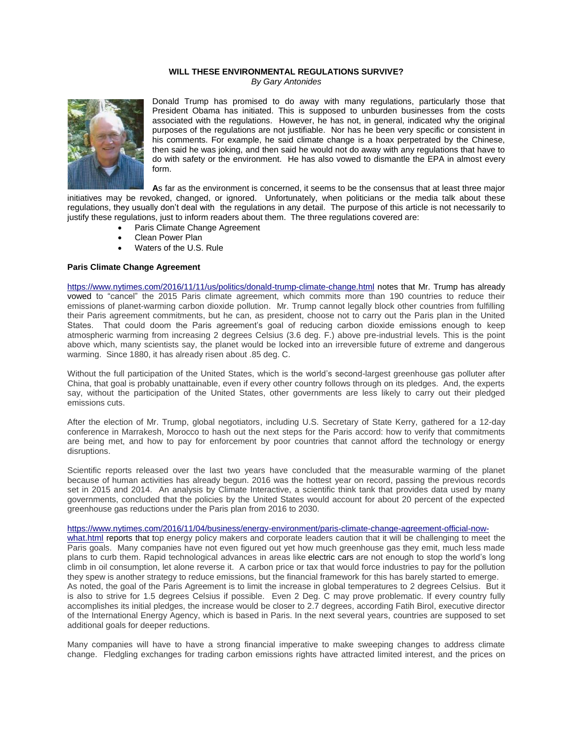# **WILL THESE ENVIRONMENTAL REGULATIONS SURVIVE?**

*By Gary Antonides* 



Donald Trump has promised to do away with many regulations, particularly those that President Obama has initiated. This is supposed to unburden businesses from the costs associated with the regulations. However, he has not, in general, indicated why the original purposes of the regulations are not justifiable. Nor has he been very specific or consistent in his comments. For example, he said climate change is a hoax perpetrated by the Chinese, then said he was joking, and then said he would not do away with any regulations that have to do with safety or the environment. He has also vowed to dismantle the EPA in almost every form.

**A**s far as the environment is concerned, it seems to be the consensus that at least three major initiatives may be revoked, changed, or ignored. Unfortunately, when politicians or the media talk about these regulations, they usually don't deal with the regulations in any detail. The purpose of this article is not necessarily to justify these regulations, just to inform readers about them. The three regulations covered are:

- Paris Climate Change Agreement
- Clean Power Plan
- Waters of the U.S. Rule

### **Paris Climate Change Agreement**

<https://www.nytimes.com/2016/11/11/us/politics/donald-trump-climate-change.html> notes that Mr. Trump has already vowed to "cancel" the 2015 Paris climate agreement, which commits more than 190 countries to reduce their emissions of planet-warming carbon dioxide pollution. Mr. Trump cannot legally block other countries from fulfilling their Paris agreement commitments, but he can, as president, choose not to carry out the Paris plan in the United States. That could doom the Paris agreement's goal of reducing carbon dioxide emissions enough to keep atmospheric warming from increasing 2 degrees Celsius (3.6 deg. F.) above pre-industrial levels. This is the point above which, many scientists say, the planet would be locked into an irreversible future of extreme and dangerous warming. Since 1880, it has already risen about .85 deg. C.

Without the full participation of the United States, which is the world's second-largest greenhouse gas polluter after China, that goal is probably unattainable, even if every other country follows through on its pledges. And, the experts say, without the participation of the United States, other governments are less likely to carry out their pledged emissions cuts.

After the election of Mr. Trump, global negotiators, including U.S. Secretary of State Kerry, gathered for a 12-day conference in Marrakesh, Morocco to hash out the next steps for the Paris accord: how to verify that commitments are being met, and how to pay for enforcement by poor countries that cannot afford the technology or energy disruptions.

Scientific reports released over the last two years have concluded that the measurable warming of the planet because of human activities has already begun. 2016 was the hottest year on record, passing the previous records set in 2015 and 2014. An analysis by Climate Interactive, a scientific think tank that provides data used by many governments, concluded that the policies by the United States would account for about 20 percent of the expected greenhouse gas reductions under the Paris plan from 2016 to 2030.

#### [https://www.nytimes.com/2016/11/04/business/energy-environment/paris-climate-change-agreement-official-now-](https://www.nytimes.com/2016/11/04/business/energy-environment/paris-climate-change-agreement-official-now-what.html)

[what.html](https://www.nytimes.com/2016/11/04/business/energy-environment/paris-climate-change-agreement-official-now-what.html) reports that top energy policy makers and corporate leaders caution that it will be challenging to meet the Paris goals. Many companies have not even figured out yet how much greenhouse gas they emit, much less made plans to curb them. Rapid technological advances in areas like [electric cars](http://topics.nytimes.com/top/reference/timestopics/subjects/e/electric_vehicles/index.html?&inline=nyt-classifier) are not enough to stop the world's long climb in oil consumption, let alone reverse it. A carbon price or tax that would force industries to pay for the pollution they spew is another strategy to reduce emissions, but the financial framework for this has barely started to emerge. As noted, the goal of the Paris Agreement is to limit the increase in global temperatures to 2 degrees Celsius. But it is also to strive for 1.5 degrees Celsius if possible. Even 2 Deg. C may prove problematic. If every country fully accomplishes its initial pledges, the increase would be closer to 2.7 degrees, according Fatih Birol, executive director of the International Energy Agency, which is based in Paris. In the next several years, countries are supposed to set additional goals for deeper reductions.

Many companies will have to have a strong financial imperative to make sweeping changes to address climate change. Fledgling exchanges for trading carbon emissions rights have attracted limited interest, and the prices on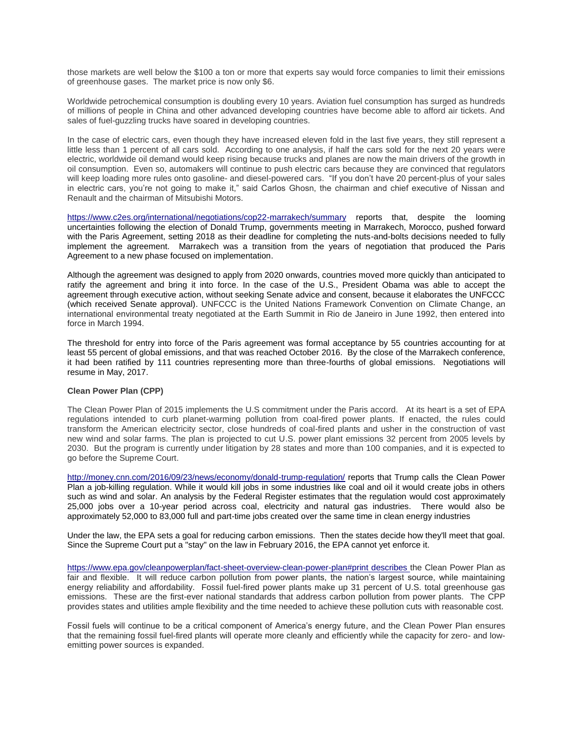those markets are well below the \$100 a ton or more that experts say would force companies to limit their emissions of greenhouse gases. The market price is now only \$6.

Worldwide petrochemical consumption is doubling every 10 years. Aviation fuel consumption has surged as hundreds of millions of people in China and other advanced developing countries have become able to afford air tickets. And sales of fuel-guzzling trucks have soared in developing countries.

In the case of electric cars, even though they have increased eleven fold in the last five years, they still represent a little less than 1 percent of all cars sold. According to one analysis, if half the cars sold for the next 20 years were electric, worldwide oil demand would keep rising because trucks and planes are now the main drivers of the growth in oil consumption. Even so, automakers will continue to push electric cars because they are convinced that regulators will keep loading more rules onto gasoline- and diesel-powered cars. "If you don't have 20 percent-plus of your sales in electric cars, you're not going to make it," said Carlos Ghosn, the chairman and chief executive of Nissan and Renault and the chairman of Mitsubishi Motors.

<https://www.c2es.org/international/negotiations/cop22-marrakech/summary> reports that, despite the looming uncertainties following the election of Donald Trump, governments meeting in Marrakech, Morocco, pushed forward with the Paris Agreement, setting 2018 as their deadline for completing the nuts-and-bolts decisions needed to fully implement the agreement. Marrakech was a transition from the years of negotiation that produced the Paris Agreement to a new phase focused on implementation.

Although the agreement was designed to apply from 2020 onwards, countries moved more quickly than anticipated to ratify the agreement and bring it into force. In the case of the U.S., President Obama was able to accept the agreement through executive action, without seeking Senate advice and consent, because it elaborates the UNFCCC (which received Senate approval). UNFCCC is the United Nations Framework Convention on Climate Change, an international environmental treaty negotiated at the Earth Summit in Rio de Janeiro in June 1992, then entered into force in March 1994.

The threshold for entry into force of the Paris agreement was formal acceptance by 55 countries accounting for at least 55 percent of global emissions, and that was reached October 2016. By the close of the Marrakech conference, it had been ratified by 111 countries representing more than three-fourths of global emissions. Negotiations will resume in May, 2017.

## **Clean Power Plan (CPP)**

The Clean Power Plan of 2015 implements the U.S commitment under the Paris accord. At its heart is a set of EPA regulations intended to curb planet-warming pollution from coal-fired power plants. If enacted, the rules could transform the American electricity sector, close hundreds of coal-fired plants and usher in the construction of vast new wind and solar farms. The plan is projected to cut U.S. power plant emissions 32 percent from 2005 levels by 2030. But the program is currently under litigation by 28 states and more than 100 companies, and it is expected to go before the Supreme Court.

<http://money.cnn.com/2016/09/23/news/economy/donald-trump-regulation/> reports that Trump calls the Clean Power Plan a job-killing regulation. While it would kill jobs in some industries like coal and oil it would create jobs in others such as wind and solar. An analysis by the Federal Register estimates that the regulation would cost approximately 25,000 jobs over a 10-year period across coal, electricity and natural gas industries. There would also be approximately 52,000 to 83,000 full and part-time jobs created over the same time in clean energy industries

Under the law, the EPA sets a goal for reducing carbon emissions. Then the states decide how they'll meet that goal. Since the Supreme Court put a "stay" on the law in February 2016, the EPA cannot yet enforce it.

<https://www.epa.gov/cleanpowerplan/fact-sheet-overview-clean-power-plan#print> describes the Clean Power Plan as fair and flexible. It will reduce carbon pollution from power plants, the nation's largest source, while maintaining energy reliability and affordability. Fossil fuel-fired power plants make up 31 percent of U.S. total greenhouse gas emissions. These are the first-ever national standards that address carbon pollution from power plants. The CPP provides states and utilities ample flexibility and the time needed to achieve these pollution cuts with reasonable cost.

Fossil fuels will continue to be a critical component of America's energy future, and the Clean Power Plan ensures that the remaining fossil fuel-fired plants will operate more cleanly and efficiently while the capacity for zero- and lowemitting power sources is expanded.